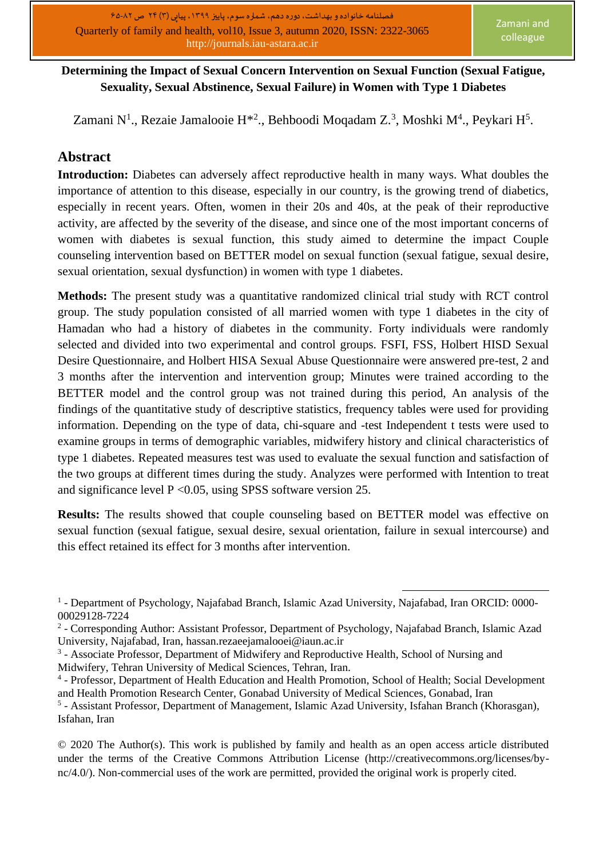## **Determining the Impact of Sexual Concern Intervention on Sexual Function (Sexual Fatigue, Sexuality, Sexual Abstinence, Sexual Failure) in Women with Type 1 Diabetes**

Zamani N<sup>1</sup>., Rezaie Jamalooie H\*<sup>2</sup>., Behboodi Moqadam Z.<sup>3</sup>, Moshki M<sup>4</sup>., Peykari H<sup>5</sup>.

## **Abstract**

**Introduction:** Diabetes can adversely affect reproductive health in many ways. What doubles the importance of attention to this disease, especially in our country, is the growing trend of diabetics, especially in recent years. Often, women in their 20s and 40s, at the peak of their reproductive activity, are affected by the severity of the disease, and since one of the most important concerns of women with diabetes is sexual function, this study aimed to determine the impact Couple counseling intervention based on BETTER model on sexual function (sexual fatigue, sexual desire, sexual orientation, sexual dysfunction) in women with type 1 diabetes.

**Methods:** The present study was a quantitative randomized clinical trial study with RCT control group. The study population consisted of all married women with type 1 diabetes in the city of Hamadan who had a history of diabetes in the community. Forty individuals were randomly selected and divided into two experimental and control groups. FSFI, FSS, Holbert HISD Sexual Desire Questionnaire, and Holbert HISA Sexual Abuse Questionnaire were answered pre-test, 2 and 3 months after the intervention and intervention group; Minutes were trained according to the BETTER model and the control group was not trained during this period, An analysis of the findings of the quantitative study of descriptive statistics, frequency tables were used for providing information. Depending on the type of data, chi-square and -test Independent t tests were used to examine groups in terms of demographic variables, midwifery history and clinical characteristics of type 1 diabetes. Repeated measures test was used to evaluate the sexual function and satisfaction of the two groups at different times during the study. Analyzes were performed with Intention to treat and significance level P <0.05, using SPSS software version 25.

**Results:** The results showed that couple counseling based on BETTER model was effective on sexual function (sexual fatigue, sexual desire, sexual orientation, failure in sexual intercourse) and this effect retained its effect for 3 months after intervention.

<sup>&</sup>lt;sup>1</sup> - Department of Psychology, Najafabad Branch, Islamic Azad University, Najafabad, Iran ORCID: 0000-00029128-7224

<sup>&</sup>lt;sup>2</sup> - Corresponding Author: Assistant Professor, Department of Psychology, Najafabad Branch, Islamic Azad University, Najafabad, Iran, [hassan.rezaeejamalooei@iaun.ac.ir](mailto:hassan.rezaeejamalooei@iaun.ac.ir)

<sup>&</sup>lt;sup>3</sup> - Associate Professor, Department of Midwifery and Reproductive Health, School of Nursing and Midwifery, Tehran University of Medical Sciences, Tehran, Iran.

<sup>4</sup> - Professor, Department of Health Education and Health Promotion, School of Health; Social Development and Health Promotion Research Center, Gonabad University of Medical Sciences, Gonabad, Iran

<sup>&</sup>lt;sup>5</sup> - Assistant Professor, Department of Management, Islamic Azad University, Isfahan Branch (Khorasgan), Isfahan, Iran

<sup>© 2020</sup> The Author(s). This work is published by family and health as an open access article distributed under the terms of the Creative Commons Attribution License (http://creativecommons.org/licenses/bync/4.0/). Non-commercial uses of the work are permitted, provided the original work is properly cited.